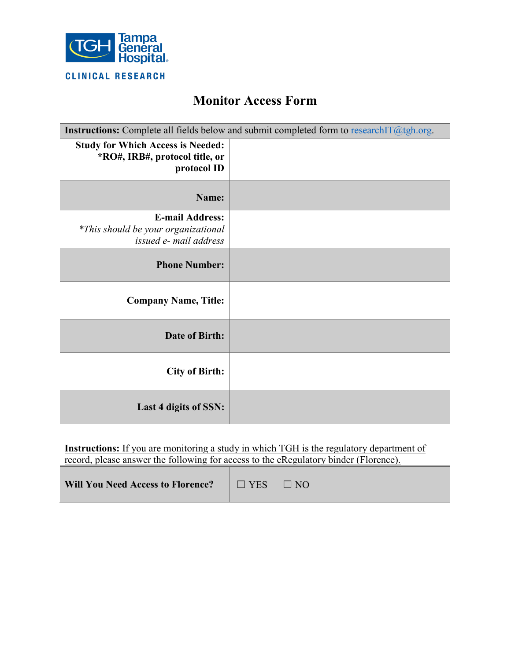

# **Monitor Access Form**

| <b>Instructions:</b> Complete all fields below and submit completed form to research $T(\hat{\omega}_{t}$ gh.org. |  |
|-------------------------------------------------------------------------------------------------------------------|--|
| <b>Study for Which Access is Needed:</b><br>*RO#, IRB#, protocol title, or<br>protocol ID                         |  |
| Name:                                                                                                             |  |
| <b>E-mail Address:</b><br><i>*This should be your organizational</i><br>issued e- mail address                    |  |
| <b>Phone Number:</b>                                                                                              |  |
| <b>Company Name, Title:</b>                                                                                       |  |
| Date of Birth:                                                                                                    |  |
| <b>City of Birth:</b>                                                                                             |  |
| Last 4 digits of SSN:                                                                                             |  |

**Instructions:** If you are monitoring a study in which TGH is the regulatory department of record, please answer the following for access to the eRegulatory binder (Florence).